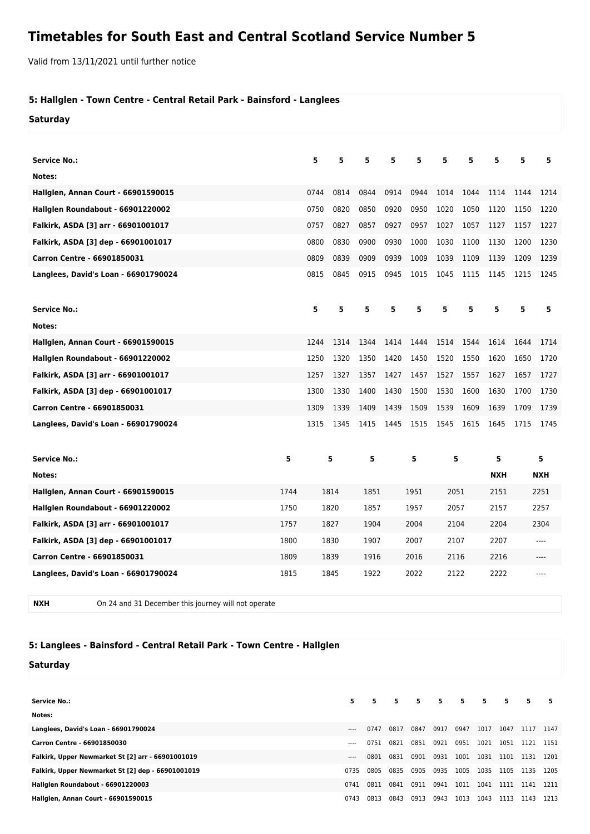## **Timetables for South East and Central Scotland Service Number 5**

Valid from 13/11/2021 until further notice

## **5: Hallglen - Town Centre - Central Retail Park - Bainsford - Langlees**

**Saturday**

| <b>Service No.:</b>                        |      | 5    | 5    | 5    | 5    | 5    | 5    | 5    | 5          | 5            | 5          |
|--------------------------------------------|------|------|------|------|------|------|------|------|------------|--------------|------------|
| Notes:                                     |      |      |      |      |      |      |      |      |            |              |            |
| <b>Hallglen, Annan Court - 66901590015</b> |      | 0744 | 0814 | 0844 | 0914 | 0944 | 1014 | 1044 | 1114       | 1144         | 1214       |
| Hallglen Roundabout - 66901220002          |      | 0750 | 0820 | 0850 | 0920 | 0950 | 1020 | 1050 | 1120       | 1150         | 1220       |
| Falkirk, ASDA [3] arr - 66901001017        |      | 0757 | 0827 | 0857 | 0927 | 0957 | 1027 | 1057 | 1127       | 1157         | 1227       |
| Falkirk, ASDA [3] dep - 66901001017        |      | 0800 | 0830 | 0900 | 0930 | 1000 | 1030 | 1100 | 1130       | 1200         | 1230       |
| Carron Centre - 66901850031                |      | 0809 | 0839 | 0909 | 0939 | 1009 | 1039 | 1109 | 1139       | 1209         | 1239       |
| Langlees, David's Loan - 66901790024       |      | 0815 | 0845 | 0915 | 0945 | 1015 | 1045 | 1115 | 1145       | 1215         | 1245       |
|                                            |      |      |      |      |      |      |      |      |            |              |            |
| <b>Service No.:</b>                        |      | 5    | 5    | 5    | 5    | 5    | 5    | 5    | 5          | 5            | 5          |
| Notes:                                     |      |      |      |      |      |      |      |      |            |              |            |
| Hallglen, Annan Court - 66901590015        |      | 1244 | 1314 | 1344 | 1414 | 1444 | 1514 | 1544 | 1614       | 1644         | 1714       |
| Hallglen Roundabout - 66901220002          |      | 1250 | 1320 | 1350 | 1420 | 1450 | 1520 | 1550 | 1620       | 1650         | 1720       |
| Falkirk, ASDA [3] arr - 66901001017        |      | 1257 | 1327 | 1357 | 1427 | 1457 | 1527 | 1557 | 1627       | 1657         | 1727       |
| Falkirk, ASDA [3] dep - 66901001017        |      | 1300 | 1330 | 1400 | 1430 | 1500 | 1530 | 1600 | 1630       | 1700         | 1730       |
| Carron Centre - 66901850031                |      | 1309 | 1339 | 1409 | 1439 | 1509 | 1539 | 1609 | 1639       | 1709         | 1739       |
| Langlees, David's Loan - 66901790024       |      | 1315 | 1345 | 1415 | 1445 | 1515 | 1545 | 1615 | 1645       | 1715         | 1745       |
|                                            |      |      |      | 5    |      |      |      |      |            |              |            |
| <b>Service No.:</b>                        | 5    |      | 5    |      |      | 5    | 5    |      | 5          | 5            |            |
| Notes:                                     |      |      |      |      |      |      |      |      | <b>NXH</b> |              | <b>NXH</b> |
| <b>Hallglen, Annan Court - 66901590015</b> | 1744 | 1814 |      | 1851 |      | 1951 |      | 2051 |            | 2151<br>2251 |            |
| Hallglen Roundabout - 66901220002          | 1750 | 1820 |      | 1857 |      | 1957 | 2057 |      | 2157       |              | 2257       |
| Falkirk, ASDA [3] arr - 66901001017        | 1757 |      | 1827 | 1904 |      | 2004 | 2104 |      | 2204       |              | 2304       |
| Falkirk, ASDA [3] dep - 66901001017        | 1800 |      | 1830 | 1907 |      | 2007 | 2107 |      | 2207       | ----         |            |
| <b>Carron Centre - 66901850031</b>         | 1809 |      | 1839 | 1916 |      | 2016 | 2116 |      | 2216       |              | ----       |
| Langlees, David's Loan - 66901790024       | 1815 |      | 1845 | 1922 |      | 2022 | 2122 |      | 2222       |              | ----       |

**NXH** On 24 and 31 December this journey will not operate

## **5: Langlees - Bainsford - Central Retail Park - Town Centre - Hallglen**

## **Saturday**

| <b>Service No.:</b>                               | 5.       | 5    | $5 -$ | $5 -$ | $5 -$ | 5.   | 5.   | 5.   | 5.        | -5   |
|---------------------------------------------------|----------|------|-------|-------|-------|------|------|------|-----------|------|
| Notes:                                            |          |      |       |       |       |      |      |      |           |      |
| Langlees, David's Loan - 66901790024              | $---$    | 0747 | 0817  | 0847  | 0917  | 0947 | 1017 | 1047 | 1117      | 1147 |
| Carron Centre - 66901850030                       | $---$    | 0751 | 0821  | 0851  | 0921  | 0951 | 1021 | 1051 | 1121 1151 |      |
| Falkirk, Upper Newmarket St [2] arr - 66901001019 | $\cdots$ | 0801 | 0831  | 0901  | 0931  | 1001 | 1031 | 1101 | 1131      | 1201 |
| Falkirk, Upper Newmarket St [2] dep - 66901001019 | 0735     | 0805 | 0835  | 0905  | 0935  | 1005 | 1035 | 1105 | 1135      | 1205 |
| Hallglen Roundabout - 66901220003                 | 0741     | 0811 | 0841  | 0911  | 0941  | 1011 | 1041 | 1111 | 1141      | 1211 |
| <b>Hallglen, Annan Court - 66901590015</b>        | 0743     | 0813 | 0843  | 0913  | 0943  | 1013 | 1043 | 1113 | 1143      | 1213 |